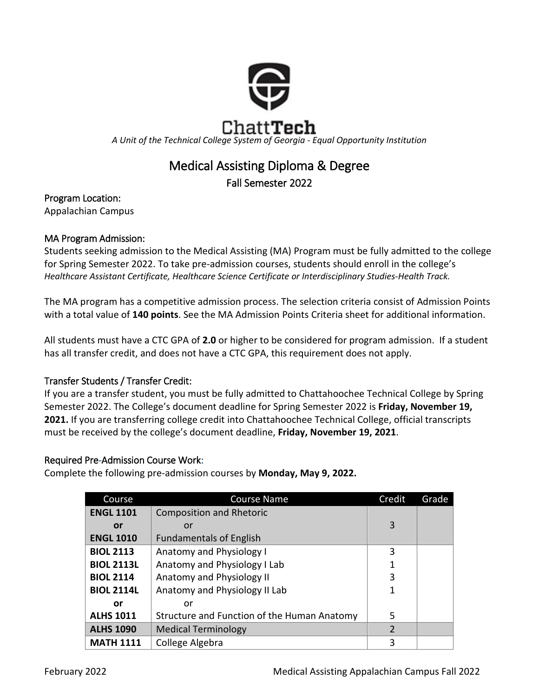

# Medical Assisting Diploma & Degree

Fall Semester 2022

# Program Location:

Appalachian Campus

# MA Program Admission:

Students seeking admission to the Medical Assisting (MA) Program must be fully admitted to the college for Spring Semester 2022. To take pre-admission courses, students should enroll in the college's *Healthcare Assistant Certificate, Healthcare Science Certificate or Interdisciplinary Studies-Health Track.* 

The MA program has a competitive admission process. The selection criteria consist of Admission Points with a total value of **140 points**. See the MA Admission Points Criteria sheet for additional information.

All students must have a CTC GPA of **2.0** or higher to be considered for program admission. If a student has all transfer credit, and does not have a CTC GPA, this requirement does not apply.

# Transfer Students / Transfer Credit:

If you are a transfer student, you must be fully admitted to Chattahoochee Technical College by Spring Semester 2022. The College's document deadline for Spring Semester 2022 is **Friday, November 19, 2021.** If you are transferring college credit into Chattahoochee Technical College, official transcripts must be received by the college's document deadline, **Friday, November 19, 2021**.

# Required Pre-Admission Course Work:

Complete the following pre-admission courses by **Monday, May 9, 2022.**

| Course            | <b>Course Name</b>                          | Credit         | Grade |
|-------------------|---------------------------------------------|----------------|-------|
| <b>ENGL 1101</b>  | <b>Composition and Rhetoric</b>             |                |       |
| or                | or                                          | 3              |       |
| <b>ENGL 1010</b>  | <b>Fundamentals of English</b>              |                |       |
| <b>BIOL 2113</b>  | Anatomy and Physiology I                    | 3              |       |
| <b>BIOL 2113L</b> | Anatomy and Physiology I Lab                | 1              |       |
| <b>BIOL 2114</b>  | Anatomy and Physiology II                   | 3              |       |
| <b>BIOL 2114L</b> | Anatomy and Physiology II Lab               | 1              |       |
| or                | or                                          |                |       |
| <b>ALHS 1011</b>  | Structure and Function of the Human Anatomy | 5              |       |
| <b>ALHS 1090</b>  | <b>Medical Terminology</b>                  | $\overline{2}$ |       |
| <b>MATH 1111</b>  | College Algebra                             | 3              |       |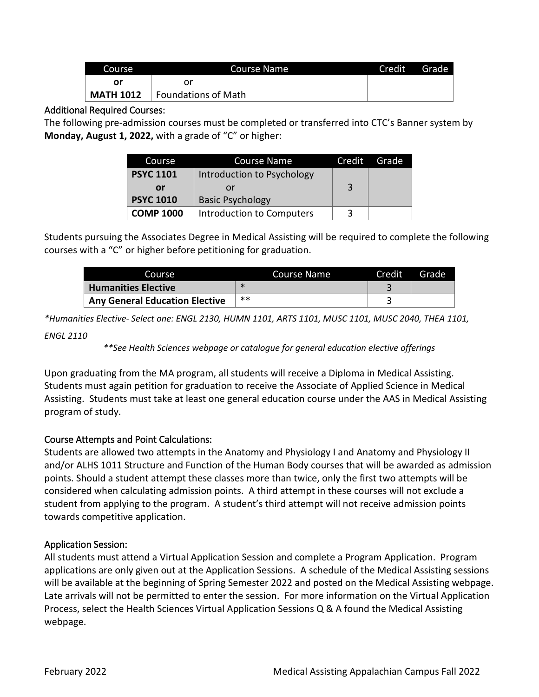| Course           | Course Name         | Credit | Grade |
|------------------|---------------------|--------|-------|
| Οr               |                     |        |       |
| <b>MATH 1012</b> | Foundations of Math |        |       |

## Additional Required Courses:

The following pre-admission courses must be completed or transferred into CTC's Banner system by **Monday, August 1, 2022,** with a grade of "C" or higher:

| Course           | <b>Course Name</b>         | Credit | Grade |
|------------------|----------------------------|--------|-------|
| <b>PSYC 1101</b> | Introduction to Psychology |        |       |
| or               | or                         | 3      |       |
| <b>PSYC 1010</b> | <b>Basic Psychology</b>    |        |       |
| <b>COMP 1000</b> | Introduction to Computers  | 3      |       |

Students pursuing the Associates Degree in Medical Assisting will be required to complete the following courses with a "C" or higher before petitioning for graduation.

| Course                                | Course Name | Credit | Grade |
|---------------------------------------|-------------|--------|-------|
| <b>Humanities Elective</b>            |             |        |       |
| <b>Any General Education Elective</b> | $**$        |        |       |

*\*Humanities Elective- Select one: ENGL 2130, HUMN 1101, ARTS 1101, MUSC 1101, MUSC 2040, THEA 1101,* 

#### *ENGL 2110*

*\*\*See Health Sciences webpage or catalogue for general education elective offerings*

Upon graduating from the MA program, all students will receive a Diploma in Medical Assisting. Students must again petition for graduation to receive the Associate of Applied Science in Medical Assisting. Students must take at least one general education course under the AAS in Medical Assisting program of study.

## Course Attempts and Point Calculations:

Students are allowed two attempts in the Anatomy and Physiology I and Anatomy and Physiology II and/or ALHS 1011 Structure and Function of the Human Body courses that will be awarded as admission points. Should a student attempt these classes more than twice, only the first two attempts will be considered when calculating admission points. A third attempt in these courses will not exclude a student from applying to the program. A student's third attempt will not receive admission points towards competitive application.

## Application Session:

All students must attend a Virtual Application Session and complete a Program Application. Program applications are only given out at the Application Sessions. A schedule of the Medical Assisting sessions will be available at the beginning of Spring Semester 2022 and posted on the Medical Assisting webpage. Late arrivals will not be permitted to enter the session. For more information on the Virtual Application Process, select the Health Sciences Virtual Application Sessions Q & A found the Medical Assisting webpage.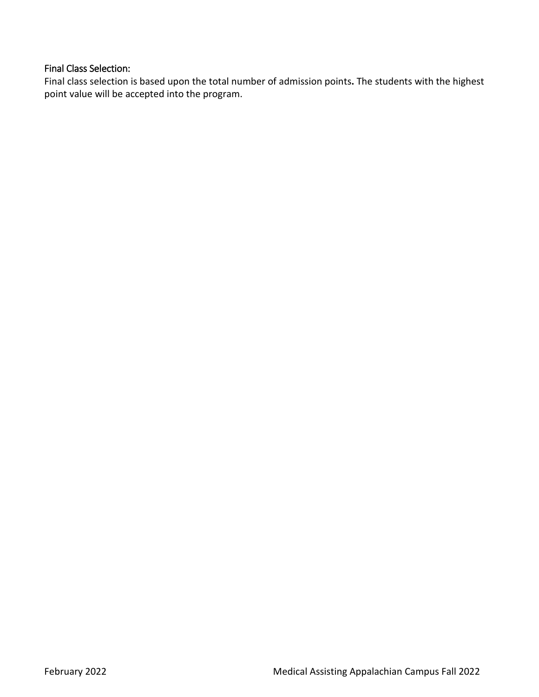## Final Class Selection:

Final class selection is based upon the total number of admission points**.** The students with the highest point value will be accepted into the program.